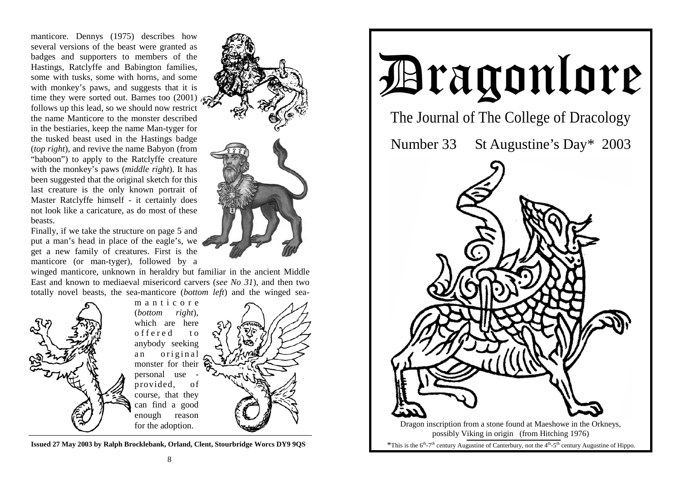manticore. Dennys (1975) describes how several versions of the beast were granted as badges and supporters to members of the Hastings, Ratclyffe and Babington families, some with tusks, some with horns, and some with monkey's paws, and suggests that it is time they were sorted out. Barnes too (2001) follows up this lead, so we should now restrict the name Manticore to the monster described in the bestiaries, keep the name Man-tyger for the tusked beast used in the Hastings badge (*top right*), and revive the name Babyon (from "baboon") to apply to the Ratclyffe creature with the monkey's paws (*middle right*). It has been suggested that the original sketch for this last creature is the only known portrait of Master Ratclyffe himself - it certainly does not look like a caricature, as do most of these beasts.

Finally, if we take the structure on page 5 and put a man's head in place of the eagle's, we get a new family of creatures. First is the manticore (or man-tyger), followed by a

winged manticore, unknown in heraldry but familiar in the ancient Middle East and known to mediaeval misericord carvers (*see No 31*), and then two totally novel beasts, the sea-manticore (*bottom left*) and the winged sea-



m a n t i c o r e (*bottom right*), which are here o f f e r e d to anybody seeking an original monster for their personal use provided, of course, that they can find a good enough reason for the adoption.



**Issued 27 May 2003 by Ralph Brocklebank, Orland, Clent, Stourbridge Worcs DY9 9QS**



# Dragonlore

The Journal of The College of Dracology

Number 33 St Augustine's Day\* 2003

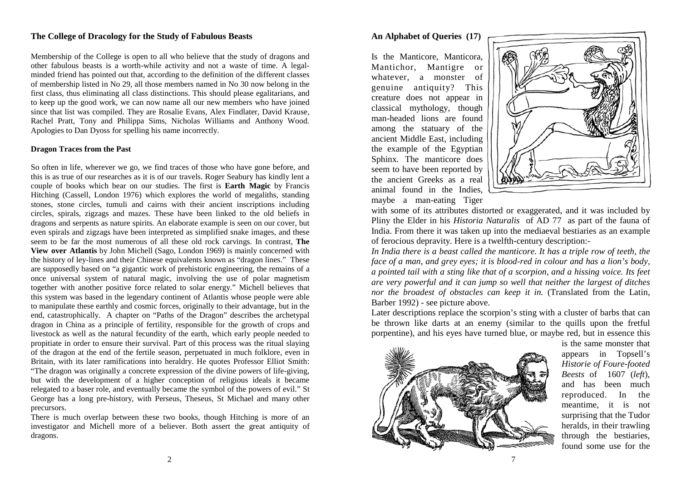# **The College of Dracology for the Study of Fabulous Beasts**

Membership of the College is open to all who believe that the study of dragons and other fabulous beasts is a worth-while activity and not a waste of time. A legalminded friend has pointed out that, according to the definition of the different classes of membership listed in No 29, all those members named in No 30 now belong in the first class, thus eliminating all class distinctions. This should please egalitarians, and to keep up the good work, we can now name all our new members who have joined since that list was compiled. They are Rosalie Evans, Alex Findlater, David Krause, Rachel Pratt, Tony and Philippa Sims, Nicholas Williams and Anthony Wood. Apologies to Dan Dyoss for spelling his name incorrectly.

## **Dragon Traces from the Past**

So often in life, wherever we go, we find traces of those who have gone before, and this is as true of our researches as it is of our travels. Roger Seabury has kindly lent a couple of books which bear on our studies. The first is **Earth Magic** by Francis Hitching (Cassell, London 1976) which explores the world of megaliths, standing stones, stone circles, tumuli and cairns with their ancient inscriptions including circles, spirals, zigzags and mazes. These have been linked to the old beliefs in dragons and serpents as nature spirits. An elaborate example is seen on our cover, but even spirals and zigzags have been interpreted as simplified snake images, and these seem to be far the most numerous of all these old rock carvings. In contrast, **The View over Atlantis** by John Michell (Sago, London 1969) is mainly concerned with the history of ley-lines and their Chinese equivalents known as "dragon lines." These are supposedly based on "a gigantic work of prehistoric engineering, the remains of a once universal system of natural magic, involving the use of polar magnetism together with another positive force related to solar energy." Michell believes that this system was based in the legendary continent of Atlantis whose people were able to manipulate these earthly and cosmic forces, originally to their advantage, but in the end, catastrophically. A chapter on "Paths of the Dragon" describes the archetypal dragon in China as a principle of fertility, responsible for the growth of crops and livestock as well as the natural fecundity of the earth, which early people needed to propitiate in order to ensure their survival. Part of this process was the ritual slaying of the dragon at the end of the fertile season, perpetuated in much folklore, even in Britain, with its later ramifications into heraldry. He quotes Professor Elliot Smith: "The dragon was originally a concrete expression of the divine powers of life-giving, but with the development of a higher conception of religious ideals it became relegated to a baser role, and eventually became the symbol of the powers of evil." St George has a long pre-history, with Perseus, Theseus, St Michael and many other precursors.

There is much overlap between these two books, though Hitching is more of an investigator and Michell more of a believer. Both assert the great antiquity of dragons.

# **An Alphabet of Queries (17)**

Is the Manticore, Manticora, Mantichor, Mantigre or whatever, a monster of genuine antiquity? This creature does not appear in classical mythology, though man-headed lions are found among the statuary of the ancient Middle East, including the example of the Egyptian Sphinx. The manticore does seem to have been reported by the ancient Greeks as a real animal found in the Indies, maybe a man-eating Tiger



with some of its attributes distorted or exaggerated, and it was included by Pliny the Elder in his *Historia Naturalis* of AD 77 as part of the fauna of India. From there it was taken up into the mediaeval bestiaries as an example of ferocious depravity. Here is a twelfth-century description:-

*In India there is a beast called the manticore. It has a triple row of teeth, the face of a man, and grey eyes; it is blood-red in colour and has a lion's body, a pointed tail with a sting like that of a scorpion, and a hissing voice. Its feet are very powerful and it can jump so well that neither the largest of ditches nor the broadest of obstacles can keep it in.* (Translated from the Latin, Barber 1992) - see picture above.

Later descriptions replace the scorpion's sting with a cluster of barbs that can be thrown like darts at an enemy (similar to the quills upon the fretful porpentine), and his eyes have turned blue, or maybe red, but in essence this



is the same monster that appears in Topsell's *Historie of Foure-footed Beests* of 1607 (*left*), and has been much reproduced. In the meantime, it is not surprising that the Tudor heralds, in their trawling through the bestiaries, found some use for the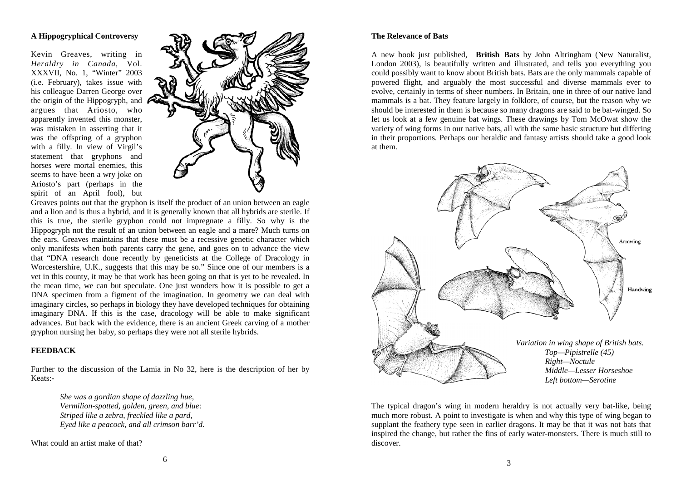## **A Hippogryphical Controversy**

Kevin Greaves, writing in *Heraldry in Canada,* Vol. XXXVII, No. 1, "Winter" 2003 (i.e. February), takes issue with his colleague Darren George over the origin of the Hippogryph, and argues that Ariosto, who apparently invented this monster, was mistaken in asserting that it was the offspring of a gryphon with a filly. In view of Virgil's statement that gryphons and horses were mortal enemies, this seems to have been a wry joke on Ariosto's part (perhaps in the spirit of an April fool), but



Greaves points out that the gryphon is itself the product of an union between an eagle and a lion and is thus a hybrid, and it is generally known that all hybrids are sterile. If this is true, the sterile gryphon could not impregnate a filly. So why is the Hippogryph not the result of an union between an eagle and a mare? Much turns on the ears. Greaves maintains that these must be a recessive genetic character which only manifests when both parents carry the gene, and goes on to advance the view that "DNA research done recently by geneticists at the College of Dracology in Worcestershire, U.K., suggests that this may be so." Since one of our members is a vet in this county, it may be that work has been going on that is yet to be revealed. In the mean time, we can but speculate. One just wonders how it is possible to get a DNA specimen from a figment of the imagination. In geometry we can deal with imaginary circles, so perhaps in biology they have developed techniques for obtaining imaginary DNA. If this is the case, dracology will be able to make significant advances. But back with the evidence, there is an ancient Greek carving of a mother gryphon nursing her baby, so perhaps they were not all sterile hybrids.

#### **FEEDBACK**

Further to the discussion of the Lamia in No 32, here is the description of her by Keats:-

> *She was a gordian shape of dazzling hue, Vermilion-spotted, golden, green, and blue: Striped like a zebra, freckled like a pard, Eyed like a peacock, and all crimson barr'd.*

What could an artist make of that?

#### **The Relevance of Bats**

A new book just published, **British Bats** by John Altringham (New Naturalist, London 2003), is beautifully written and illustrated, and tells you everything you could possibly want to know about British bats. Bats are the only mammals capable of powered flight, and arguably the most successful and diverse mammals ever to evolve, certainly in terms of sheer numbers. In Britain, one in three of our native land mammals is a bat. They feature largely in folklore, of course, but the reason why we should be interested in them is because so many dragons are said to be bat-winged. So let us look at a few genuine bat wings. These drawings by Tom McOwat show the variety of wing forms in our native bats, all with the same basic structure but differing in their proportions. Perhaps our heraldic and fantasy artists should take a good look at them.



The typical dragon's wing in modern heraldry is not actually very bat-like, being much more robust. A point to investigate is when and why this type of wing began to supplant the feathery type seen in earlier dragons. It may be that it was not bats that inspired the change, but rather the fins of early water-monsters. There is much still to discover.